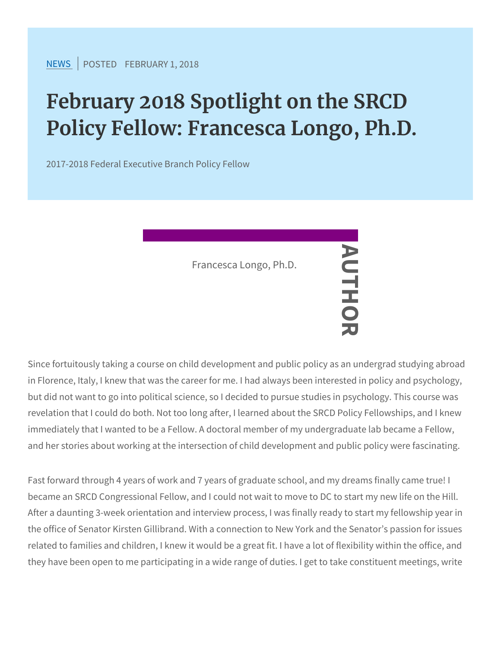## February 2018 Spotlight on the S Policy Fellow: Francesca Longo,

2017-2018 Federal Executive Branch Policy Fellow

Since fortuitously taking a course on child development and public in Florence, Italy, I knew that was the caree  $\overline{v}$  for me. I had always but did not want to go into political science, so I decided to pursue revelation that I could do both. Not too long after, I learned about immediately that I wanted to be a Fellow. A doctoral member of my and her stories about working at the intersection of child developm Francesca Longo, Ph.D. AUTHOR

Fast forward through 4 years of work and 7 years of graduate school became an SRCD Congressional Fellow, and I could not wait to mov After a daunting 3-week orientation and interview process, I was fire the office of Senator Kirsten Gillibrand. With a connection to New ' related to families and children, I knew it would be a great fit. I ha they have been open to me participating in a wide range of duties.